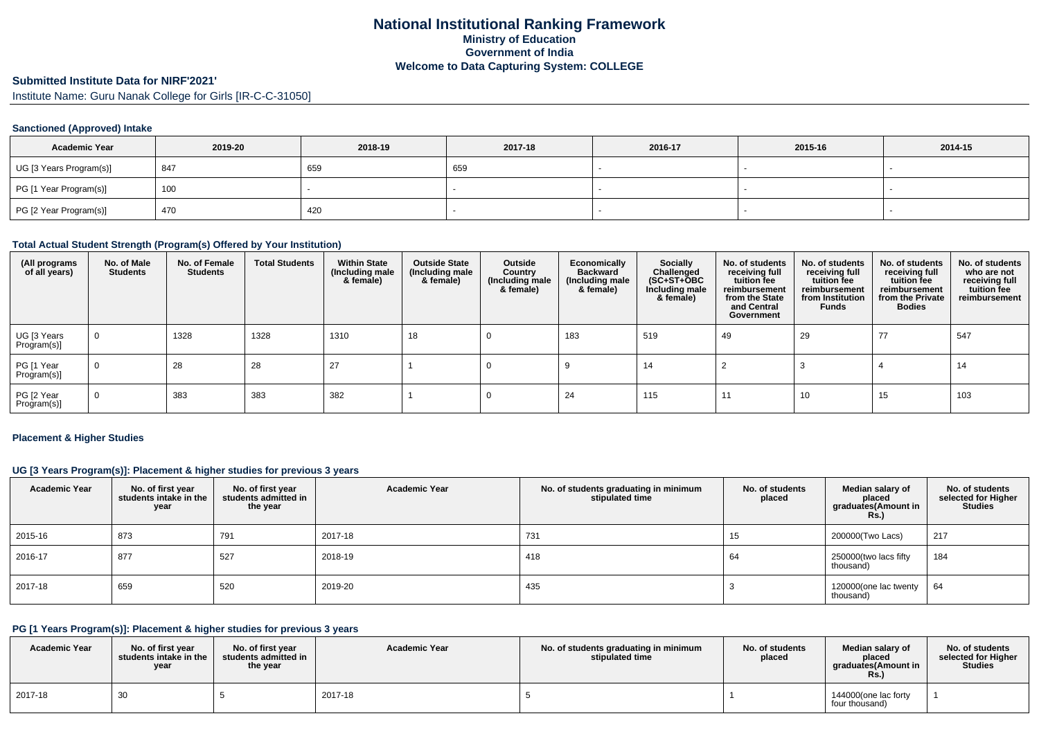## **Submitted Institute Data for NIRF'2021'**

Institute Name: Guru Nanak College for Girls [IR-C-C-31050]

### **Sanctioned (Approved) Intake**

| <b>Academic Year</b>    | 2019-20 | 2018-19 | 2017-18 | 2016-17 | 2015-16 | 2014-15 |
|-------------------------|---------|---------|---------|---------|---------|---------|
| UG [3 Years Program(s)] | 847     | 659     | 659     |         |         |         |
| PG [1 Year Program(s)]  | 100     |         |         |         |         |         |
| PG [2 Year Program(s)]  | 470     | 420     |         |         |         |         |

### **Total Actual Student Strength (Program(s) Offered by Your Institution)**

| (All programs<br>of all years) | No. of Male<br><b>Students</b> | No. of Female<br><b>Students</b> | <b>Total Students</b> | <b>Within State</b><br>(Including male<br>& female) | <b>Outside State</b><br>(Including male<br>& female) | Outside<br>Country<br>(Including male<br>& female) | Economically<br><b>Backward</b><br>(Including male<br>& female) | <b>Socially</b><br>Challenged<br>$(SC+ST+\overline{O}BC)$<br>Including male<br>& female) | No. of students<br>receiving full<br>tuition fee<br>reimbursement<br>from the State<br>and Central<br>Government | No. of students<br>receiving full<br>tuition fee<br>reimbursement<br>from Institution<br><b>Funds</b> | No. of students<br>receiving full<br>tuition fee<br>reimbursement<br>from the Private<br><b>Bodies</b> | No. of students<br>who are not<br>receiving full<br>tuition fee<br>reimbursement |
|--------------------------------|--------------------------------|----------------------------------|-----------------------|-----------------------------------------------------|------------------------------------------------------|----------------------------------------------------|-----------------------------------------------------------------|------------------------------------------------------------------------------------------|------------------------------------------------------------------------------------------------------------------|-------------------------------------------------------------------------------------------------------|--------------------------------------------------------------------------------------------------------|----------------------------------------------------------------------------------|
| UG [3 Years<br>Program(s)]     | $\mathbf 0$                    | 1328                             | 1328                  | 1310                                                | 18                                                   |                                                    | 183                                                             | 519                                                                                      | 49                                                                                                               | 29                                                                                                    | 77                                                                                                     | 547                                                                              |
| PG [1 Year<br>Program(s)]      | $\mathbf 0$                    | 28                               | 28                    | 27                                                  |                                                      |                                                    |                                                                 | 14                                                                                       |                                                                                                                  |                                                                                                       |                                                                                                        | -14                                                                              |
| PG [2 Year<br>Program(s)]      | $\mathbf 0$                    | 383                              | 383                   | 382                                                 |                                                      |                                                    | 24                                                              | 115                                                                                      |                                                                                                                  | 10                                                                                                    | 15                                                                                                     | 103                                                                              |

#### **Placement & Higher Studies**

### **UG [3 Years Program(s)]: Placement & higher studies for previous 3 years**

| <b>Academic Year</b> | No. of first year<br>students intake in the<br>year | No. of first year<br>students admitted in<br>the year | <b>Academic Year</b> | No. of students graduating in minimum<br>stipulated time | No. of students<br>placed | Median salary of<br>placed<br>graduates(Amount in<br>$RS$ .) | No. of students<br>selected for Higher<br><b>Studies</b> |
|----------------------|-----------------------------------------------------|-------------------------------------------------------|----------------------|----------------------------------------------------------|---------------------------|--------------------------------------------------------------|----------------------------------------------------------|
| 2015-16              | 873                                                 | 791                                                   | 2017-18              | 731                                                      | 15                        | 200000(Two Lacs)                                             | 217                                                      |
| 2016-17              | 877                                                 | 527                                                   | 2018-19              | 418                                                      | 64                        | 250000(two lacs fifty<br>thousand)                           | 184                                                      |
| 2017-18              | 659                                                 | 520                                                   | 2019-20              | 435                                                      |                           | 120000(one lac twenty<br>thousand)                           | 64                                                       |

## **PG [1 Years Program(s)]: Placement & higher studies for previous 3 years**

| <b>Academic Year</b> | No. of first year<br>students intake in the<br>year | No. of first year<br>students admitted in<br>the year | <b>Academic Year</b> | No. of students graduating in minimum<br>stipulated time | No. of students<br>placed | Median salary of<br>placed<br>graduates(Amount in<br>Rs. | No. of students<br>selected for Higher<br>Studies |
|----------------------|-----------------------------------------------------|-------------------------------------------------------|----------------------|----------------------------------------------------------|---------------------------|----------------------------------------------------------|---------------------------------------------------|
| 2017-18              | ບບ                                                  |                                                       | 2017-18              |                                                          |                           | 144000(one lac forty<br>four thousand)                   |                                                   |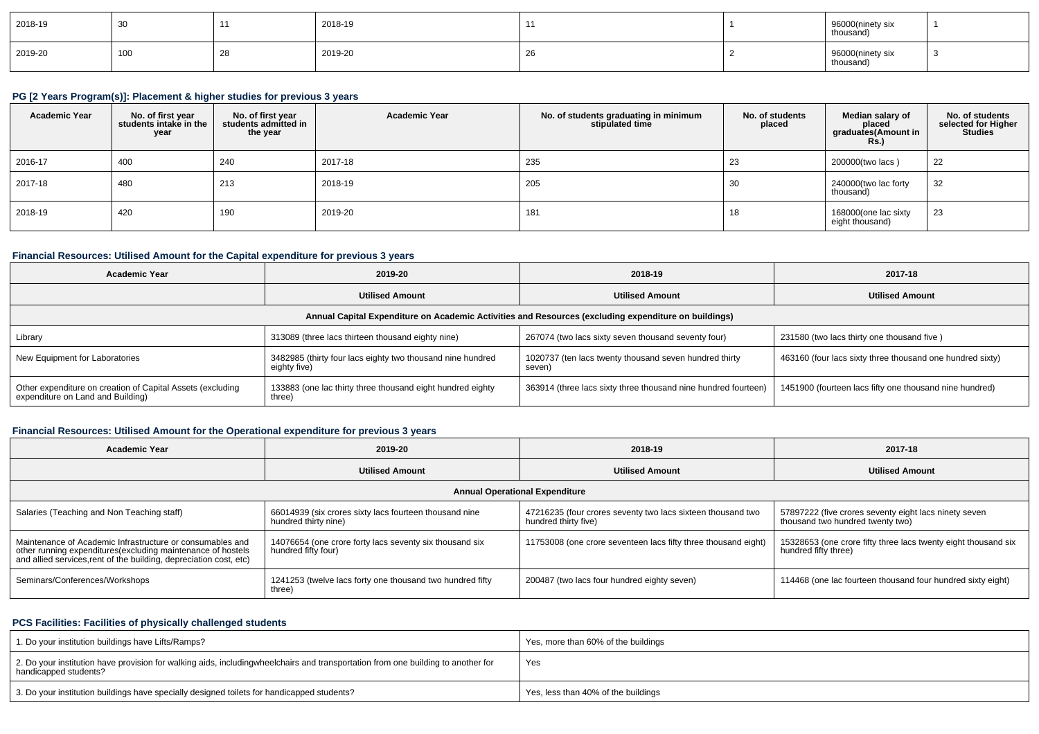| 2018-19 | ັບ  |    | 2018-19 |    | 96000(ninety six<br>thousand) |  |
|---------|-----|----|---------|----|-------------------------------|--|
| 2019-20 | 100 | ىء | 2019-20 | 26 | 96000(ninety six<br>thousand) |  |

# **PG [2 Years Program(s)]: Placement & higher studies for previous 3 years**

| <b>Academic Year</b> | No. of first year<br>students intake in the<br>year | No. of first year<br>students admitted in<br>the year | <b>Academic Year</b> | No. of students graduating in minimum<br>stipulated time | No. of students<br>placed | Median salary of<br>placed<br>graduates(Amount in<br>R <sub>S</sub> | No. of students<br>selected for Higher<br>Studies |
|----------------------|-----------------------------------------------------|-------------------------------------------------------|----------------------|----------------------------------------------------------|---------------------------|---------------------------------------------------------------------|---------------------------------------------------|
| 2016-17              | 400                                                 | 240                                                   | 2017-18              | 235                                                      | 23                        | 200000(two lacs)                                                    | 22                                                |
| 2017-18              | 480                                                 | 213                                                   | 2018-19              | 205                                                      | 30                        | 240000(two lac forty<br>thousand)                                   | 32                                                |
| 2018-19              | 420                                                 | 190                                                   | 2019-20              | 181                                                      | 18                        | 168000(one lac sixty<br>eight thousand)                             | 23                                                |

## **Financial Resources: Utilised Amount for the Capital expenditure for previous 3 years**

| <b>Academic Year</b>                                                                                 | 2019-20                                                                    | 2018-19                                                          | 2017-18                                                   |  |  |  |  |  |  |  |
|------------------------------------------------------------------------------------------------------|----------------------------------------------------------------------------|------------------------------------------------------------------|-----------------------------------------------------------|--|--|--|--|--|--|--|
|                                                                                                      | <b>Utilised Amount</b>                                                     |                                                                  | <b>Utilised Amount</b>                                    |  |  |  |  |  |  |  |
| Annual Capital Expenditure on Academic Activities and Resources (excluding expenditure on buildings) |                                                                            |                                                                  |                                                           |  |  |  |  |  |  |  |
| Library                                                                                              | 313089 (three lacs thirteen thousand eighty nine)                          | 267074 (two lacs sixty seven thousand seventy four)              | 231580 (two lacs thirty one thousand five)                |  |  |  |  |  |  |  |
| New Equipment for Laboratories                                                                       | 3482985 (thirty four lacs eighty two thousand nine hundred<br>eighty five) | 1020737 (ten lacs twenty thousand seven hundred thirty<br>seven) | 463160 (four lacs sixty three thousand one hundred sixty) |  |  |  |  |  |  |  |
| Other expenditure on creation of Capital Assets (excluding<br>expenditure on Land and Building)      | 133883 (one lac thirty three thousand eight hundred eighty<br>three)       | 363914 (three lacs sixty three thousand nine hundred fourteen)   | 1451900 (fourteen lacs fifty one thousand nine hundred)   |  |  |  |  |  |  |  |

## **Financial Resources: Utilised Amount for the Operational expenditure for previous 3 years**

| <b>Academic Year</b>                                                                                                                                                                           | 2019-20                                                                        | 2018-19                                                                             | 2017-18                                                                                   |
|------------------------------------------------------------------------------------------------------------------------------------------------------------------------------------------------|--------------------------------------------------------------------------------|-------------------------------------------------------------------------------------|-------------------------------------------------------------------------------------------|
|                                                                                                                                                                                                | <b>Utilised Amount</b>                                                         | <b>Utilised Amount</b>                                                              | <b>Utilised Amount</b>                                                                    |
|                                                                                                                                                                                                |                                                                                | <b>Annual Operational Expenditure</b>                                               |                                                                                           |
| Salaries (Teaching and Non Teaching staff)                                                                                                                                                     | 66014939 (six crores sixty lacs fourteen thousand nine<br>hundred thirty nine) | 47216235 (four crores seventy two lacs sixteen thousand two<br>hundred thirty five) | 57897222 (five crores seventy eight lacs ninety seven<br>thousand two hundred twenty two) |
| Maintenance of Academic Infrastructure or consumables and<br>other running expenditures(excluding maintenance of hostels<br>and allied services, rent of the building, depreciation cost, etc) | 14076654 (one crore forty lacs seventy six thousand six<br>hundred fifty four) | 11753008 (one crore seventeen lacs fifty three thousand eight)                      | 15328653 (one crore fifty three lacs twenty eight thousand six<br>hundred fifty three)    |
| Seminars/Conferences/Workshops                                                                                                                                                                 | 1241253 (twelve lacs forty one thousand two hundred fifty<br>three)            | 200487 (two lacs four hundred eighty seven)                                         | 114468 (one lac fourteen thousand four hundred sixty eight)                               |

### **PCS Facilities: Facilities of physically challenged students**

| 1. Do your institution buildings have Lifts/Ramps?                                                                                                        | Yes, more than 60% of the buildings |
|-----------------------------------------------------------------------------------------------------------------------------------------------------------|-------------------------------------|
| 2. Do your institution have provision for walking aids, includingwheelchairs and transportation from one building to another for<br>handicapped students? | Yes                                 |
| 3. Do your institution buildings have specially designed toilets for handicapped students?                                                                | Yes, less than 40% of the buildings |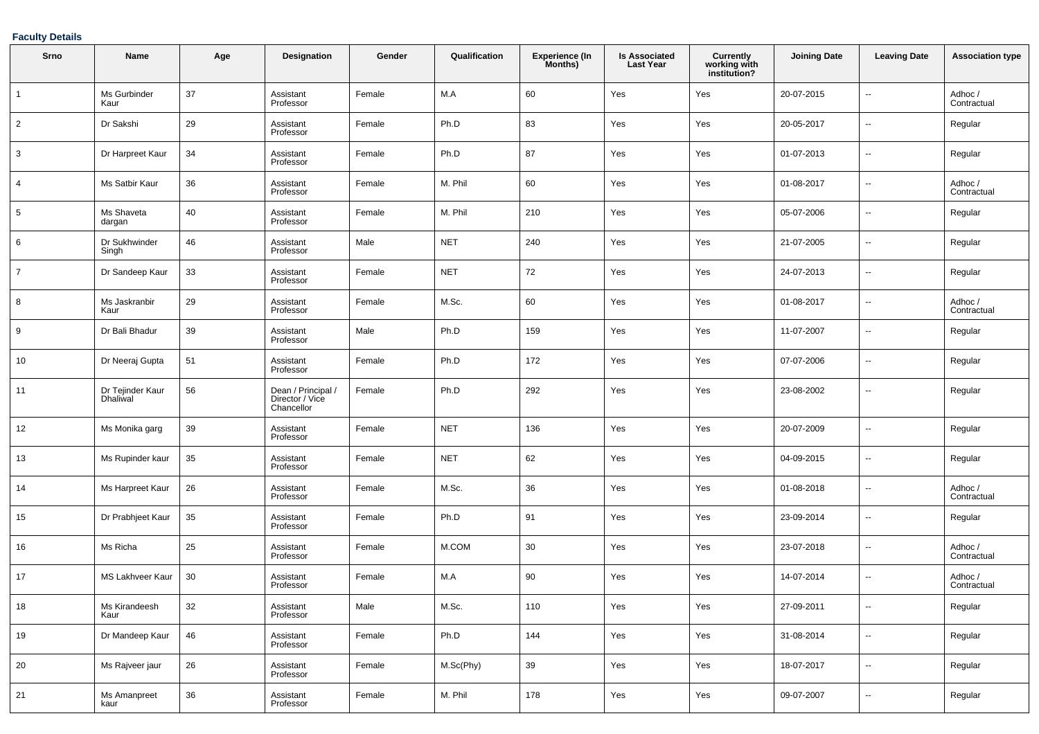### **Faculty Details**

| Srno            | Name                                | Age | Designation                                         | Gender | Qualification | <b>Experience (In</b><br>Months) | <b>Is Associated</b><br><b>Last Year</b> | <b>Currently<br/>working with<br/>institution?</b> | <b>Joining Date</b> | <b>Leaving Date</b>      | <b>Association type</b> |
|-----------------|-------------------------------------|-----|-----------------------------------------------------|--------|---------------|----------------------------------|------------------------------------------|----------------------------------------------------|---------------------|--------------------------|-------------------------|
| $\mathbf{1}$    | Ms Gurbinder<br>Kaur                | 37  | Assistant<br>Professor                              | Female | M.A           | 60                               | Yes                                      | Yes                                                | 20-07-2015          | $\overline{\phantom{a}}$ | Adhoc/<br>Contractual   |
| $\overline{2}$  | Dr Sakshi                           | 29  | Assistant<br>Professor                              | Female | Ph.D          | 83                               | Yes                                      | Yes                                                | 20-05-2017          | $\overline{\phantom{a}}$ | Regular                 |
| 3               | Dr Harpreet Kaur                    | 34  | Assistant<br>Professor                              | Female | Ph.D          | 87                               | Yes                                      | Yes                                                | 01-07-2013          | $\overline{\phantom{a}}$ | Regular                 |
| 4               | Ms Satbir Kaur                      | 36  | Assistant<br>Professor                              | Female | M. Phil       | 60                               | Yes                                      | Yes                                                | 01-08-2017          | $\overline{\phantom{a}}$ | Adhoc /<br>Contractual  |
| $5\phantom{.0}$ | Ms Shaveta<br>dargan                | 40  | Assistant<br>Professor                              | Female | M. Phil       | 210                              | Yes                                      | Yes                                                | 05-07-2006          | $\overline{\phantom{a}}$ | Regular                 |
| 6               | Dr Sukhwinder<br>Singh              | 46  | Assistant<br>Professor                              | Male   | <b>NET</b>    | 240                              | Yes                                      | Yes                                                | 21-07-2005          | $\overline{\phantom{a}}$ | Regular                 |
| $\overline{7}$  | Dr Sandeep Kaur                     | 33  | Assistant<br>Professor                              | Female | <b>NET</b>    | 72                               | Yes                                      | Yes                                                | 24-07-2013          | $\overline{\phantom{a}}$ | Regular                 |
| 8               | Ms Jaskranbir<br>Kaur               | 29  | Assistant<br>Professor                              | Female | M.Sc.         | 60                               | Yes                                      | Yes                                                | 01-08-2017          | $\overline{\phantom{a}}$ | Adhoc /<br>Contractual  |
| 9               | Dr Bali Bhadur                      | 39  | Assistant<br>Professor                              | Male   | Ph.D          | 159                              | Yes                                      | Yes                                                | 11-07-2007          | $\overline{\phantom{a}}$ | Regular                 |
| 10              | Dr Neeraj Gupta                     | 51  | Assistant<br>Professor                              | Female | Ph.D          | 172                              | Yes                                      | Yes                                                | 07-07-2006          | $\overline{\phantom{a}}$ | Regular                 |
| 11              | Dr Tejinder Kaur<br><b>Dhaliwal</b> | 56  | Dean / Principal /<br>Director / Vice<br>Chancellor | Female | Ph.D          | 292                              | Yes                                      | Yes                                                | 23-08-2002          | $\overline{\phantom{a}}$ | Regular                 |
| 12              | Ms Monika garg                      | 39  | Assistant<br>Professor                              | Female | <b>NET</b>    | 136                              | Yes                                      | Yes                                                | 20-07-2009          | $\overline{\phantom{a}}$ | Regular                 |
| 13              | Ms Rupinder kaur                    | 35  | Assistant<br>Professor                              | Female | <b>NET</b>    | 62                               | Yes                                      | Yes                                                | 04-09-2015          | $\overline{\phantom{a}}$ | Regular                 |
| 14              | Ms Harpreet Kaur                    | 26  | Assistant<br>Professor                              | Female | M.Sc.         | 36                               | Yes                                      | Yes                                                | 01-08-2018          | $\overline{\phantom{a}}$ | Adhoc /<br>Contractual  |
| 15              | Dr Prabhjeet Kaur                   | 35  | Assistant<br>Professor                              | Female | Ph.D          | 91                               | Yes                                      | Yes                                                | 23-09-2014          | $\overline{\phantom{a}}$ | Regular                 |
| 16              | Ms Richa                            | 25  | Assistant<br>Professor                              | Female | M.COM         | 30                               | Yes                                      | Yes                                                | 23-07-2018          | --                       | Adhoc /<br>Contractual  |
| 17              | <b>MS Lakhveer Kaur</b>             | 30  | Assistant<br>Professor                              | Female | M.A           | 90                               | Yes                                      | Yes                                                | 14-07-2014          | $\overline{\phantom{a}}$ | Adhoc /<br>Contractual  |
| 18              | Ms Kirandeesh<br>Kaur               | 32  | Assistant<br>Professor                              | Male   | M.Sc.         | 110                              | Yes                                      | Yes                                                | 27-09-2011          | --                       | Regular                 |
| 19              | Dr Mandeep Kaur                     | 46  | Assistant<br>Professor                              | Female | Ph.D          | 144                              | Yes                                      | Yes                                                | 31-08-2014          | Ξ.                       | Regular                 |
| 20              | Ms Rajveer jaur                     | 26  | Assistant<br>Professor                              | Female | M.Sc(Phy)     | 39                               | Yes                                      | Yes                                                | 18-07-2017          | $\overline{\phantom{a}}$ | Regular                 |
| 21              | Ms Amanpreet<br>kaur                | 36  | Assistant<br>Professor                              | Female | M. Phil       | 178                              | Yes                                      | Yes                                                | 09-07-2007          | $\overline{\phantom{a}}$ | Regular                 |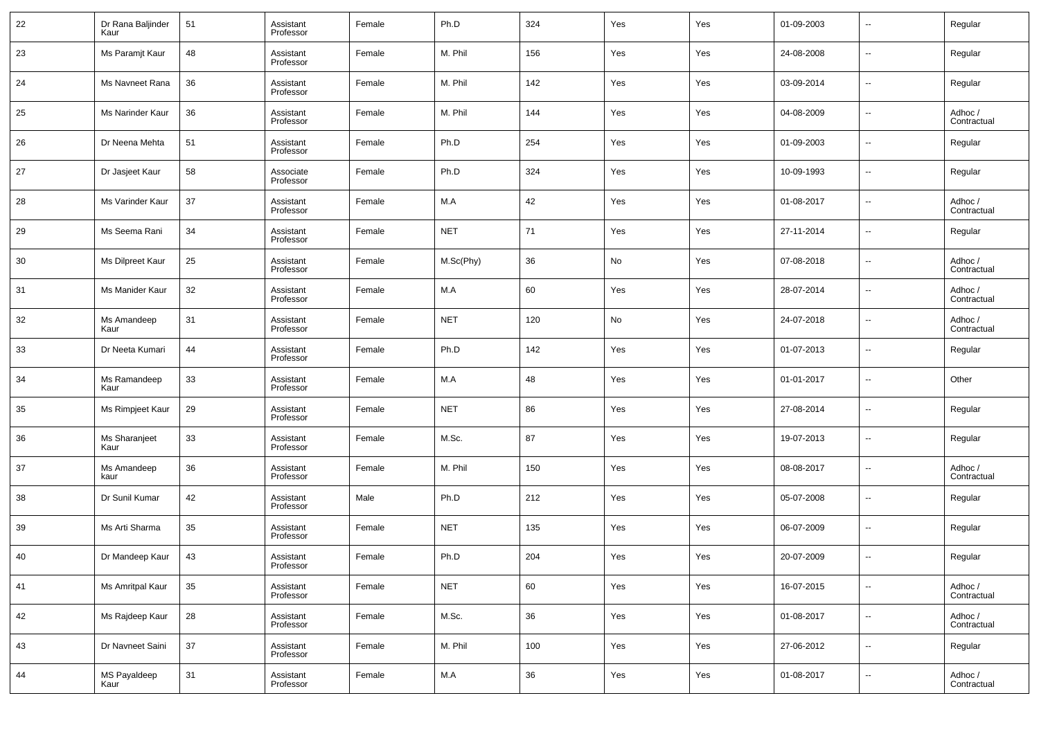| 22     | Dr Rana Baljinder<br>Kaur   | 51 | Assistant<br>Professor | Female | Ph.D       | 324 | Yes | Yes | 01-09-2003 | $\overline{\phantom{a}}$ | Regular                |
|--------|-----------------------------|----|------------------------|--------|------------|-----|-----|-----|------------|--------------------------|------------------------|
| 23     | Ms Paramjt Kaur             | 48 | Assistant<br>Professor | Female | M. Phil    | 156 | Yes | Yes | 24-08-2008 | $\overline{\phantom{a}}$ | Regular                |
| 24     | Ms Navneet Rana             | 36 | Assistant<br>Professor | Female | M. Phil    | 142 | Yes | Yes | 03-09-2014 | $\overline{\phantom{a}}$ | Regular                |
| 25     | Ms Narinder Kaur            | 36 | Assistant<br>Professor | Female | M. Phil    | 144 | Yes | Yes | 04-08-2009 | $\overline{\phantom{a}}$ | Adhoc /<br>Contractual |
| 26     | Dr Neena Mehta              | 51 | Assistant<br>Professor | Female | Ph.D       | 254 | Yes | Yes | 01-09-2003 | $\overline{\phantom{a}}$ | Regular                |
| 27     | Dr Jasjeet Kaur             | 58 | Associate<br>Professor | Female | Ph.D       | 324 | Yes | Yes | 10-09-1993 | $\overline{\phantom{a}}$ | Regular                |
| 28     | Ms Varinder Kaur            | 37 | Assistant<br>Professor | Female | M.A        | 42  | Yes | Yes | 01-08-2017 | $\overline{\phantom{a}}$ | Adhoc /<br>Contractual |
| 29     | Ms Seema Rani               | 34 | Assistant<br>Professor | Female | <b>NET</b> | 71  | Yes | Yes | 27-11-2014 | $\overline{\phantom{a}}$ | Regular                |
| 30     | Ms Dilpreet Kaur            | 25 | Assistant<br>Professor | Female | M.Sc(Phy)  | 36  | No  | Yes | 07-08-2018 | $\overline{\phantom{a}}$ | Adhoc /<br>Contractual |
| 31     | Ms Manider Kaur             | 32 | Assistant<br>Professor | Female | M.A        | 60  | Yes | Yes | 28-07-2014 | $\overline{\phantom{a}}$ | Adhoc /<br>Contractual |
| 32     | Ms Amandeep<br>Kaur         | 31 | Assistant<br>Professor | Female | <b>NET</b> | 120 | No  | Yes | 24-07-2018 | $\overline{\phantom{a}}$ | Adhoc /<br>Contractual |
| 33     | Dr Neeta Kumari             | 44 | Assistant<br>Professor | Female | Ph.D       | 142 | Yes | Yes | 01-07-2013 | $\overline{\phantom{a}}$ | Regular                |
| 34     | Ms Ramandeep<br>Kaur        | 33 | Assistant<br>Professor | Female | M.A        | 48  | Yes | Yes | 01-01-2017 | $\overline{\phantom{a}}$ | Other                  |
| 35     | Ms Rimpjeet Kaur            | 29 | Assistant<br>Professor | Female | <b>NET</b> | 86  | Yes | Yes | 27-08-2014 | $\overline{\phantom{a}}$ | Regular                |
| 36     | Ms Sharanjeet<br>Kaur       | 33 | Assistant<br>Professor | Female | M.Sc.      | 87  | Yes | Yes | 19-07-2013 | $\overline{\phantom{a}}$ | Regular                |
| 37     | Ms Amandeep<br>kaur         | 36 | Assistant<br>Professor | Female | M. Phil    | 150 | Yes | Yes | 08-08-2017 | $\overline{\phantom{a}}$ | Adhoc /<br>Contractual |
| 38     | Dr Sunil Kumar              | 42 | Assistant<br>Professor | Male   | Ph.D       | 212 | Yes | Yes | 05-07-2008 | $\overline{\phantom{a}}$ | Regular                |
| 39     | Ms Arti Sharma              | 35 | Assistant<br>Professor | Female | <b>NET</b> | 135 | Yes | Yes | 06-07-2009 | $\overline{\phantom{a}}$ | Regular                |
| 40     | Dr Mandeep Kaur             | 43 | Assistant<br>Professor | Female | Ph.D       | 204 | Yes | Yes | 20-07-2009 | $\overline{a}$           | Regular                |
| 41     | Ms Amritpal Kaur            | 35 | Assistant<br>Professor | Female | <b>NET</b> | 60  | Yes | Yes | 16-07-2015 | $\overline{\phantom{a}}$ | Adhoc /<br>Contractual |
| $42\,$ | Ms Rajdeep Kaur             | 28 | Assistant<br>Professor | Female | M.Sc.      | 36  | Yes | Yes | 01-08-2017 | $\overline{\phantom{a}}$ | Adhoc /<br>Contractual |
| 43     | Dr Navneet Saini            | 37 | Assistant<br>Professor | Female | M. Phil    | 100 | Yes | Yes | 27-06-2012 | $\overline{\phantom{a}}$ | Regular                |
| 44     | <b>MS Payaldeep</b><br>Kaur | 31 | Assistant<br>Professor | Female | $M.A$      | 36  | Yes | Yes | 01-08-2017 | $\overline{\phantom{a}}$ | Adhoc /<br>Contractual |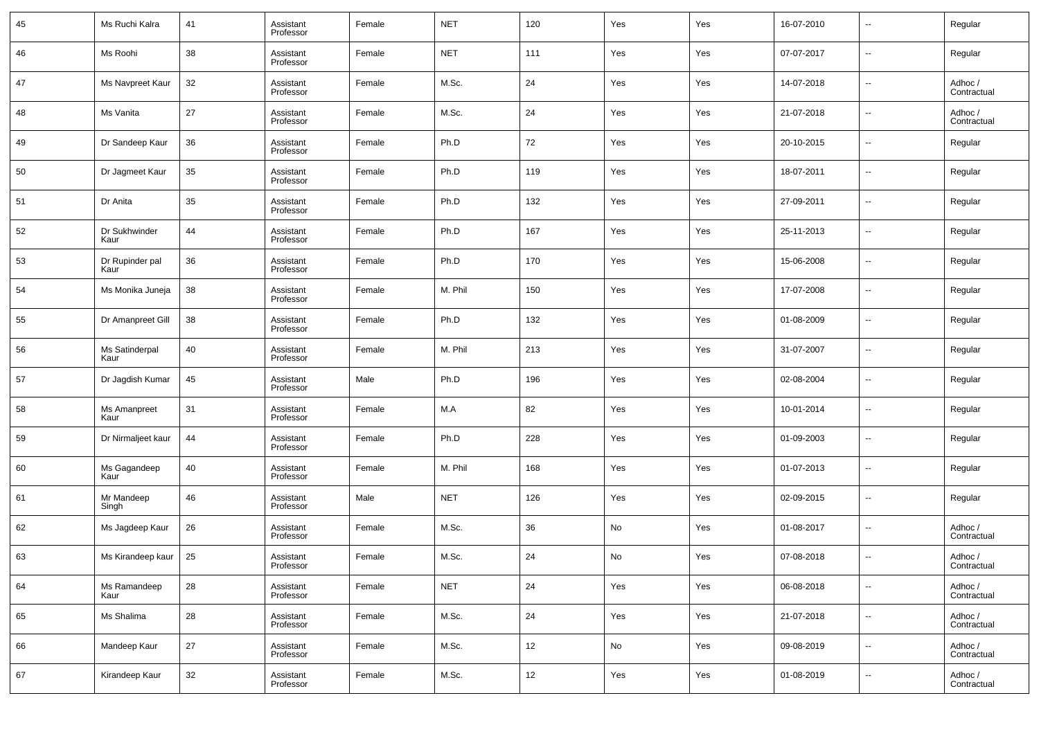| 45 | Ms Ruchi Kalra          | 41 | Assistant<br>Professor | Female | <b>NET</b> | 120    | Yes | Yes | 16-07-2010 | $\overline{\phantom{a}}$ | Regular                |
|----|-------------------------|----|------------------------|--------|------------|--------|-----|-----|------------|--------------------------|------------------------|
| 46 | Ms Roohi                | 38 | Assistant<br>Professor | Female | <b>NET</b> | 111    | Yes | Yes | 07-07-2017 | $\overline{\phantom{a}}$ | Regular                |
| 47 | Ms Navpreet Kaur        | 32 | Assistant<br>Professor | Female | M.Sc.      | 24     | Yes | Yes | 14-07-2018 | $\overline{\phantom{a}}$ | Adhoc /<br>Contractual |
| 48 | Ms Vanita               | 27 | Assistant<br>Professor | Female | M.Sc.      | 24     | Yes | Yes | 21-07-2018 | $\overline{\phantom{a}}$ | Adhoc /<br>Contractual |
| 49 | Dr Sandeep Kaur         | 36 | Assistant<br>Professor | Female | Ph.D       | 72     | Yes | Yes | 20-10-2015 | $\overline{\phantom{a}}$ | Regular                |
| 50 | Dr Jagmeet Kaur         | 35 | Assistant<br>Professor | Female | Ph.D       | 119    | Yes | Yes | 18-07-2011 | $\overline{\phantom{a}}$ | Regular                |
| 51 | Dr Anita                | 35 | Assistant<br>Professor | Female | Ph.D       | 132    | Yes | Yes | 27-09-2011 | $\overline{\phantom{a}}$ | Regular                |
| 52 | Dr Sukhwinder<br>Kaur   | 44 | Assistant<br>Professor | Female | Ph.D       | 167    | Yes | Yes | 25-11-2013 | $\overline{\phantom{a}}$ | Regular                |
| 53 | Dr Rupinder pal<br>Kaur | 36 | Assistant<br>Professor | Female | Ph.D       | 170    | Yes | Yes | 15-06-2008 | $\overline{\phantom{a}}$ | Regular                |
| 54 | Ms Monika Juneja        | 38 | Assistant<br>Professor | Female | M. Phil    | 150    | Yes | Yes | 17-07-2008 | $\overline{\phantom{a}}$ | Regular                |
| 55 | Dr Amanpreet Gill       | 38 | Assistant<br>Professor | Female | Ph.D       | 132    | Yes | Yes | 01-08-2009 | $\overline{\phantom{a}}$ | Regular                |
| 56 | Ms Satinderpal<br>Kaur  | 40 | Assistant<br>Professor | Female | M. Phil    | 213    | Yes | Yes | 31-07-2007 | $\overline{\phantom{a}}$ | Regular                |
| 57 | Dr Jagdish Kumar        | 45 | Assistant<br>Professor | Male   | Ph.D       | 196    | Yes | Yes | 02-08-2004 | $\overline{\phantom{a}}$ | Regular                |
| 58 | Ms Amanpreet<br>Kaur    | 31 | Assistant<br>Professor | Female | M.A        | 82     | Yes | Yes | 10-01-2014 | $\overline{\phantom{a}}$ | Regular                |
| 59 | Dr Nirmaljeet kaur      | 44 | Assistant<br>Professor | Female | Ph.D       | 228    | Yes | Yes | 01-09-2003 | $\overline{\phantom{a}}$ | Regular                |
| 60 | Ms Gagandeep<br>Kaur    | 40 | Assistant<br>Professor | Female | M. Phil    | 168    | Yes | Yes | 01-07-2013 | $\overline{\phantom{a}}$ | Regular                |
| 61 | Mr Mandeep<br>Singh     | 46 | Assistant<br>Professor | Male   | <b>NET</b> | 126    | Yes | Yes | 02-09-2015 | $\overline{\phantom{a}}$ | Regular                |
| 62 | Ms Jagdeep Kaur         | 26 | Assistant<br>Professor | Female | M.Sc.      | 36     | No  | Yes | 01-08-2017 | $\overline{\phantom{a}}$ | Adhoc /<br>Contractual |
| 63 | Ms Kirandeep kaur       | 25 | Assistant<br>Professor | Female | M.Sc.      | 24     | No  | Yes | 07-08-2018 | $\overline{\phantom{a}}$ | Adhoc /<br>Contractual |
| 64 | Ms Ramandeep<br>Kaur    | 28 | Assistant<br>Professor | Female | <b>NET</b> | $24\,$ | Yes | Yes | 06-08-2018 | $\overline{\phantom{a}}$ | Adhoc /<br>Contractual |
| 65 | Ms Shalima              | 28 | Assistant<br>Professor | Female | M.Sc.      | 24     | Yes | Yes | 21-07-2018 | $\overline{\phantom{a}}$ | Adhoc /<br>Contractual |
| 66 | Mandeep Kaur            | 27 | Assistant<br>Professor | Female | M.Sc.      | 12     | No  | Yes | 09-08-2019 | $\overline{\phantom{a}}$ | Adhoc /<br>Contractual |
| 67 | Kirandeep Kaur          | 32 | Assistant<br>Professor | Female | M.Sc.      | 12     | Yes | Yes | 01-08-2019 | $\overline{\phantom{a}}$ | Adhoc /<br>Contractual |